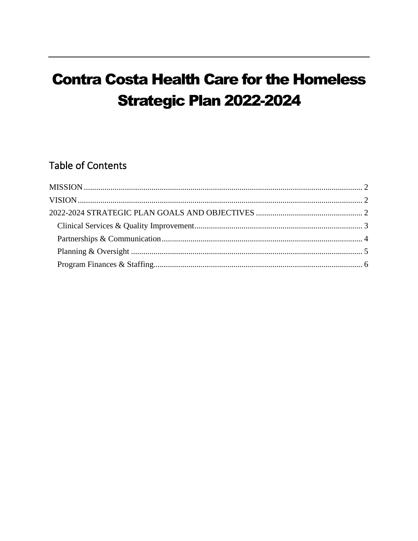# **Contra Costa Health Care for the Homeless Strategic Plan 2022-2024**

## **Table of Contents**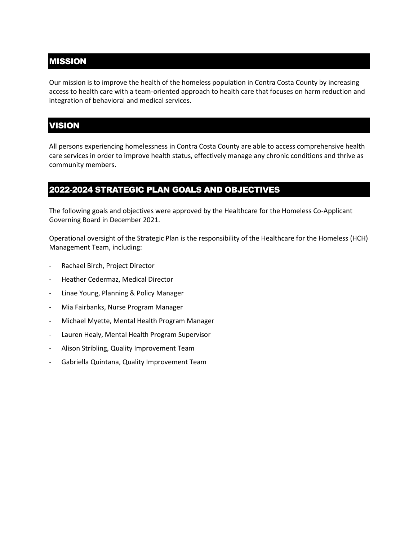#### <span id="page-1-0"></span>MISSION

Our mission is to improve the health of the homeless population in Contra Costa County by increasing access to health care with a team-oriented approach to health care that focuses on harm reduction and integration of behavioral and medical services.

#### <span id="page-1-1"></span>VISION

All persons experiencing homelessness in Contra Costa County are able to access comprehensive health care services in order to improve health status, effectively manage any chronic conditions and thrive as community members.

#### <span id="page-1-2"></span>2022-2024 STRATEGIC PLAN GOALS AND OBJECTIVES

The following goals and objectives were approved by the Healthcare for the Homeless Co-Applicant Governing Board in December 2021.

Operational oversight of the Strategic Plan is the responsibility of the Healthcare for the Homeless (HCH) Management Team, including:

- Rachael Birch, Project Director
- Heather Cedermaz, Medical Director
- Linae Young, Planning & Policy Manager
- Mia Fairbanks, Nurse Program Manager
- Michael Myette, Mental Health Program Manager
- Lauren Healy, Mental Health Program Supervisor
- Alison Stribling, Quality Improvement Team
- Gabriella Quintana, Quality Improvement Team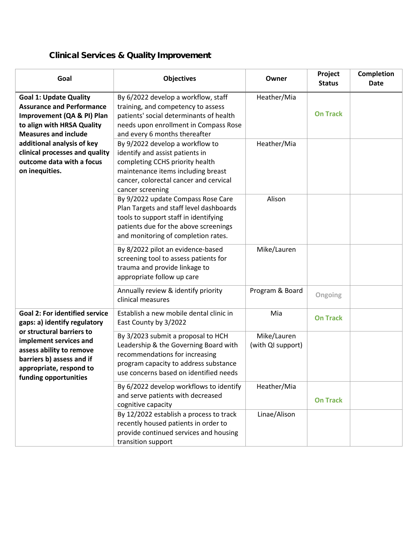## <span id="page-2-0"></span>Clinical Services & Quality Improvement

| Goal                                                                                                                                                                                                                                                                        | <b>Objectives</b>                                                                                                                                                                                         | Owner                            | Project<br><b>Status</b> | Completion<br><b>Date</b> |
|-----------------------------------------------------------------------------------------------------------------------------------------------------------------------------------------------------------------------------------------------------------------------------|-----------------------------------------------------------------------------------------------------------------------------------------------------------------------------------------------------------|----------------------------------|--------------------------|---------------------------|
| <b>Goal 1: Update Quality</b><br><b>Assurance and Performance</b><br>Improvement (QA & PI) Plan<br>to align with HRSA Quality<br><b>Measures and include</b><br>additional analysis of key<br>clinical processes and quality<br>outcome data with a focus<br>on inequities. | By 6/2022 develop a workflow, staff<br>training, and competency to assess<br>patients' social determinants of health<br>needs upon enrollment in Compass Rose<br>and every 6 months thereafter            | Heather/Mia                      | <b>On Track</b>          |                           |
|                                                                                                                                                                                                                                                                             | By 9/2022 develop a workflow to<br>identify and assist patients in<br>completing CCHS priority health<br>maintenance items including breast<br>cancer, colorectal cancer and cervical<br>cancer screening | Heather/Mia                      |                          |                           |
|                                                                                                                                                                                                                                                                             | By 9/2022 update Compass Rose Care<br>Plan Targets and staff level dashboards<br>tools to support staff in identifying<br>patients due for the above screenings<br>and monitoring of completion rates.    | Alison                           |                          |                           |
|                                                                                                                                                                                                                                                                             | By 8/2022 pilot an evidence-based<br>screening tool to assess patients for<br>trauma and provide linkage to<br>appropriate follow up care                                                                 | Mike/Lauren                      |                          |                           |
|                                                                                                                                                                                                                                                                             | Annually review & identify priority<br>clinical measures                                                                                                                                                  | Program & Board                  | Ongoing                  |                           |
| <b>Goal 2: For identified service</b><br>gaps: a) identify regulatory<br>or structural barriers to<br>implement services and<br>assess ability to remove<br>barriers b) assess and if<br>appropriate, respond to<br>funding opportunities                                   | Establish a new mobile dental clinic in<br>East County by 3/2022                                                                                                                                          | Mia                              | <b>On Track</b>          |                           |
|                                                                                                                                                                                                                                                                             | By 3/2023 submit a proposal to HCH<br>Leadership & the Governing Board with<br>recommendations for increasing<br>program capacity to address substance<br>use concerns based on identified needs          | Mike/Lauren<br>(with QI support) |                          |                           |
|                                                                                                                                                                                                                                                                             | By 6/2022 develop workflows to identify<br>and serve patients with decreased<br>cognitive capacity                                                                                                        | Heather/Mia                      | <b>On Track</b>          |                           |
|                                                                                                                                                                                                                                                                             | By 12/2022 establish a process to track<br>recently housed patients in order to<br>provide continued services and housing<br>transition support                                                           | Linae/Alison                     |                          |                           |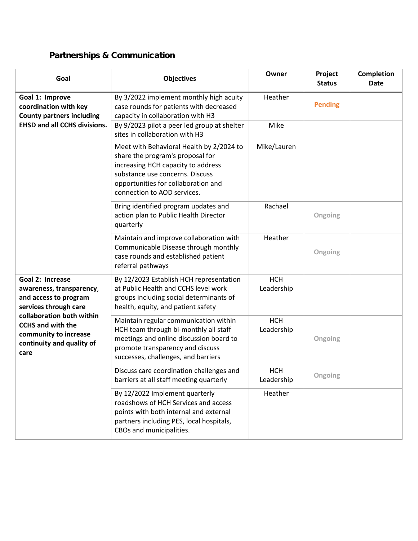## <span id="page-3-0"></span>Partnerships & Communication

| Goal                                                                                                                                                                                                                  | <b>Objectives</b>                                                                                                                                                                                                           | Owner                    | Project<br><b>Status</b> | Completion<br>Date |
|-----------------------------------------------------------------------------------------------------------------------------------------------------------------------------------------------------------------------|-----------------------------------------------------------------------------------------------------------------------------------------------------------------------------------------------------------------------------|--------------------------|--------------------------|--------------------|
| Goal 1: Improve<br>coordination with key<br><b>County partners including</b><br><b>EHSD and all CCHS divisions.</b>                                                                                                   | By 3/2022 implement monthly high acuity<br>case rounds for patients with decreased<br>capacity in collaboration with H3<br>By 9/2023 pilot a peer led group at shelter                                                      | Heather<br>Mike          | <b>Pending</b>           |                    |
|                                                                                                                                                                                                                       | sites in collaboration with H3                                                                                                                                                                                              |                          |                          |                    |
|                                                                                                                                                                                                                       | Meet with Behavioral Health by 2/2024 to<br>share the program's proposal for<br>increasing HCH capacity to address<br>substance use concerns. Discuss<br>opportunities for collaboration and<br>connection to AOD services. | Mike/Lauren              |                          |                    |
|                                                                                                                                                                                                                       | Bring identified program updates and<br>action plan to Public Health Director<br>quarterly                                                                                                                                  | Rachael                  | Ongoing                  |                    |
|                                                                                                                                                                                                                       | Maintain and improve collaboration with<br>Communicable Disease through monthly<br>case rounds and established patient<br>referral pathways                                                                                 | Heather                  | Ongoing                  |                    |
| Goal 2: Increase<br>awareness, transparency,<br>and access to program<br>services through care<br>collaboration both within<br><b>CCHS and with the</b><br>community to increase<br>continuity and quality of<br>care | By 12/2023 Establish HCH representation<br>at Public Health and CCHS level work<br>groups including social determinants of<br>health, equity, and patient safety                                                            | <b>HCH</b><br>Leadership |                          |                    |
|                                                                                                                                                                                                                       | Maintain regular communication within<br>HCH team through bi-monthly all staff<br>meetings and online discussion board to<br>promote transparency and discuss<br>successes, challenges, and barriers                        | <b>HCH</b><br>Leadership | Ongoing                  |                    |
|                                                                                                                                                                                                                       | Discuss care coordination challenges and<br>barriers at all staff meeting quarterly                                                                                                                                         | <b>HCH</b><br>Leadership | Ongoing                  |                    |
|                                                                                                                                                                                                                       | By 12/2022 Implement quarterly<br>roadshows of HCH Services and access<br>points with both internal and external<br>partners including PES, local hospitals,<br>CBOs and municipalities.                                    | Heather                  |                          |                    |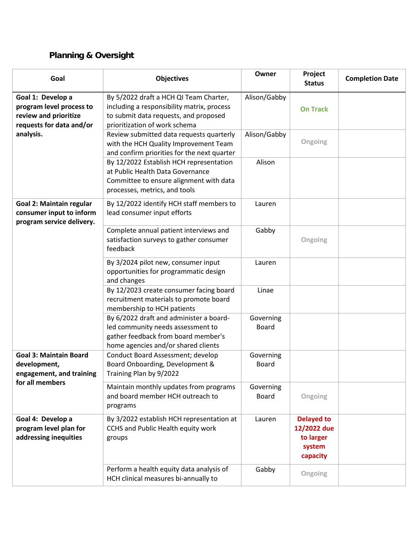## <span id="page-4-0"></span>Planning & Oversight

| Goal                                                                                               | <b>Objectives</b>                                                                                                                                              | Owner                     | Project<br><b>Status</b>                                            | <b>Completion Date</b> |
|----------------------------------------------------------------------------------------------------|----------------------------------------------------------------------------------------------------------------------------------------------------------------|---------------------------|---------------------------------------------------------------------|------------------------|
| Goal 1: Develop a<br>program level process to<br>review and prioritize<br>requests for data and/or | By 5/2022 draft a HCH QI Team Charter,<br>including a responsibility matrix, process<br>to submit data requests, and proposed<br>prioritization of work schema | Alison/Gabby              | <b>On Track</b>                                                     |                        |
| analysis.                                                                                          | Review submitted data requests quarterly<br>with the HCH Quality Improvement Team<br>and confirm priorities for the next quarter                               | Alison/Gabby              | Ongoing                                                             |                        |
|                                                                                                    | By 12/2022 Establish HCH representation<br>at Public Health Data Governance<br>Committee to ensure alignment with data<br>processes, metrics, and tools        | Alison                    |                                                                     |                        |
| Goal 2: Maintain regular<br>consumer input to inform<br>program service delivery.                  | By 12/2022 identify HCH staff members to<br>lead consumer input efforts                                                                                        | Lauren                    |                                                                     |                        |
|                                                                                                    | Complete annual patient interviews and<br>satisfaction surveys to gather consumer<br>feedback                                                                  | Gabby                     | Ongoing                                                             |                        |
|                                                                                                    | By 3/2024 pilot new, consumer input<br>opportunities for programmatic design<br>and changes                                                                    | Lauren                    |                                                                     |                        |
|                                                                                                    | By 12/2023 create consumer facing board<br>recruitment materials to promote board<br>membership to HCH patients                                                | Linae                     |                                                                     |                        |
|                                                                                                    | By 6/2022 draft and administer a board-<br>led community needs assessment to<br>gather feedback from board member's<br>home agencies and/or shared clients     | Governing<br><b>Board</b> |                                                                     |                        |
| <b>Goal 3: Maintain Board</b><br>development,<br>engagement, and training<br>for all members       | Conduct Board Assessment; develop<br>Board Onboarding, Development &<br>Training Plan by 9/2022                                                                | Governing<br><b>Board</b> |                                                                     |                        |
|                                                                                                    | Maintain monthly updates from programs<br>and board member HCH outreach to<br>programs                                                                         | Governing<br><b>Board</b> | Ongoing                                                             |                        |
| Goal 4: Develop a<br>program level plan for<br>addressing inequities                               | By 3/2022 establish HCH representation at<br>CCHS and Public Health equity work<br>groups                                                                      | Lauren                    | <b>Delayed to</b><br>12/2022 due<br>to larger<br>system<br>capacity |                        |
|                                                                                                    | Perform a health equity data analysis of<br>HCH clinical measures bi-annually to                                                                               | Gabby                     | Ongoing                                                             |                        |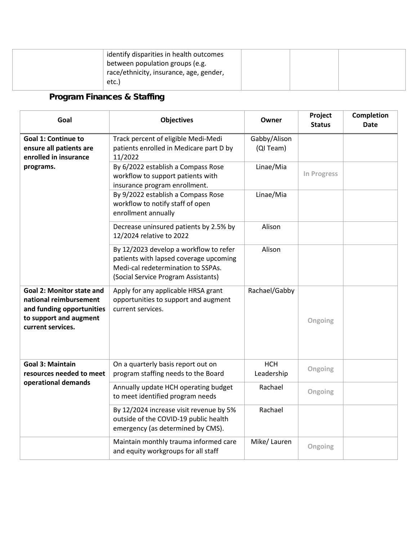<span id="page-5-0"></span>Program Finances & Staffing

| Goal                                                                                                                                   | <b>Objectives</b>                                                                                                                                             | Owner                    | Project<br><b>Status</b> | Completion<br><b>Date</b> |
|----------------------------------------------------------------------------------------------------------------------------------------|---------------------------------------------------------------------------------------------------------------------------------------------------------------|--------------------------|--------------------------|---------------------------|
| <b>Goal 1: Continue to</b>                                                                                                             | Track percent of eligible Medi-Medi                                                                                                                           | Gabby/Alison             |                          |                           |
| ensure all patients are<br>enrolled in insurance<br>programs.                                                                          | patients enrolled in Medicare part D by<br>11/2022                                                                                                            | (QI Team)                |                          |                           |
|                                                                                                                                        | By 6/2022 establish a Compass Rose<br>workflow to support patients with<br>insurance program enrollment.                                                      | Linae/Mia                | In Progress              |                           |
|                                                                                                                                        | By 9/2022 establish a Compass Rose<br>workflow to notify staff of open<br>enrollment annually                                                                 | Linae/Mia                |                          |                           |
|                                                                                                                                        | Decrease uninsured patients by 2.5% by<br>12/2024 relative to 2022                                                                                            | Alison                   |                          |                           |
|                                                                                                                                        | By 12/2023 develop a workflow to refer<br>patients with lapsed coverage upcoming<br>Medi-cal redetermination to SSPAs.<br>(Social Service Program Assistants) | Alison                   |                          |                           |
| <b>Goal 2: Monitor state and</b><br>national reimbursement<br>and funding opportunities<br>to support and augment<br>current services. | Apply for any applicable HRSA grant<br>opportunities to support and augment<br>current services.                                                              | Rachael/Gabby            | Ongoing                  |                           |
| <b>Goal 3: Maintain</b><br>resources needed to meet<br>operational demands                                                             | On a quarterly basis report out on<br>program staffing needs to the Board                                                                                     | <b>HCH</b><br>Leadership | Ongoing                  |                           |
|                                                                                                                                        | Annually update HCH operating budget<br>to meet identified program needs                                                                                      | Rachael                  | Ongoing                  |                           |
|                                                                                                                                        | By 12/2024 increase visit revenue by 5%<br>outside of the COVID-19 public health<br>emergency (as determined by CMS).                                         | Rachael                  |                          |                           |
|                                                                                                                                        | Maintain monthly trauma informed care<br>and equity workgroups for all staff                                                                                  | Mike/ Lauren             | Ongoing                  |                           |